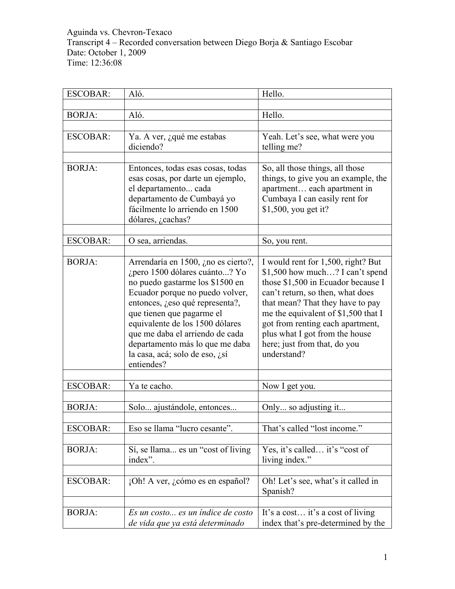Aguinda vs. Chevron-Texaco Transcript 4 – Recorded conversation between Diego Borja & Santiago Escobar Date: October 1, 2009 Time: 12:36:08

| <b>ESCOBAR:</b> | Aló.                                                                                                                                                                                                                                                                                                                                                                | Hello.                                                                                                                                                                                                                                                                                                                                          |
|-----------------|---------------------------------------------------------------------------------------------------------------------------------------------------------------------------------------------------------------------------------------------------------------------------------------------------------------------------------------------------------------------|-------------------------------------------------------------------------------------------------------------------------------------------------------------------------------------------------------------------------------------------------------------------------------------------------------------------------------------------------|
|                 |                                                                                                                                                                                                                                                                                                                                                                     |                                                                                                                                                                                                                                                                                                                                                 |
| <b>BORJA:</b>   | Aló.                                                                                                                                                                                                                                                                                                                                                                | Hello.                                                                                                                                                                                                                                                                                                                                          |
|                 |                                                                                                                                                                                                                                                                                                                                                                     |                                                                                                                                                                                                                                                                                                                                                 |
| <b>ESCOBAR:</b> | Ya. A ver, ¿qué me estabas                                                                                                                                                                                                                                                                                                                                          | Yeah. Let's see, what were you                                                                                                                                                                                                                                                                                                                  |
|                 | diciendo?                                                                                                                                                                                                                                                                                                                                                           | telling me?                                                                                                                                                                                                                                                                                                                                     |
| <b>BORJA:</b>   | Entonces, todas esas cosas, todas<br>esas cosas, por darte un ejemplo,<br>el departamento cada<br>departamento de Cumbayá yo<br>fácilmente lo arriendo en 1500<br>dólares, ¿cachas?                                                                                                                                                                                 | So, all those things, all those<br>things, to give you an example, the<br>apartment each apartment in<br>Cumbaya I can easily rent for<br>\$1,500, you get it?                                                                                                                                                                                  |
| <b>ESCOBAR:</b> | O sea, arriendas.                                                                                                                                                                                                                                                                                                                                                   | So, you rent.                                                                                                                                                                                                                                                                                                                                   |
|                 |                                                                                                                                                                                                                                                                                                                                                                     |                                                                                                                                                                                                                                                                                                                                                 |
| <b>BORJA:</b>   | Arrendaría en 1500, ¿no es cierto?,<br>¿pero 1500 dólares cuánto? Yo<br>no puedo gastarme los \$1500 en<br>Ecuador porque no puedo volver,<br>entonces, ¿eso qué representa?,<br>que tienen que pagarme el<br>equivalente de los 1500 dólares<br>que me daba el arriendo de cada<br>departamento más lo que me daba<br>la casa, acá; solo de eso, ¿sí<br>entiendes? | I would rent for 1,500, right? But<br>\$1,500 how much? I can't spend<br>those \$1,500 in Ecuador because I<br>can't return, so then, what does<br>that mean? That they have to pay<br>me the equivalent of \$1,500 that I<br>got from renting each apartment,<br>plus what I got from the house<br>here; just from that, do you<br>understand? |
| <b>ESCOBAR:</b> | Ya te cacho.                                                                                                                                                                                                                                                                                                                                                        | Now I get you.                                                                                                                                                                                                                                                                                                                                  |
| <b>BORJA:</b>   | Solo ajustándole, entonces                                                                                                                                                                                                                                                                                                                                          | Only so adjusting it                                                                                                                                                                                                                                                                                                                            |
| <b>ESCOBAR:</b> | Eso se llama "lucro cesante".                                                                                                                                                                                                                                                                                                                                       | That's called "lost income."                                                                                                                                                                                                                                                                                                                    |
| <b>BORJA:</b>   | Sí, se llama es un "cost of living<br>index".                                                                                                                                                                                                                                                                                                                       | Yes, it's called it's "cost of<br>living index."                                                                                                                                                                                                                                                                                                |
| <b>ESCOBAR:</b> | ¡Oh! A ver, ¿cómo es en español?                                                                                                                                                                                                                                                                                                                                    | Oh! Let's see, what's it called in<br>Spanish?                                                                                                                                                                                                                                                                                                  |
| <b>BORJA:</b>   | Es un costo es un índice de costo<br>de vida que ya está determinado                                                                                                                                                                                                                                                                                                | It's a cost it's a cost of living<br>index that's pre-determined by the                                                                                                                                                                                                                                                                         |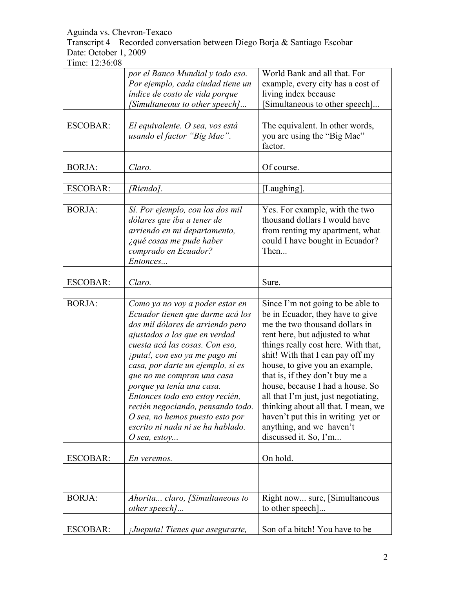Transcript 4 – Recorded conversation between Diego Borja & Santiago Escobar Date: October 1, 2009

|                 | por el Banco Mundial y todo eso.<br>Por ejemplo, cada ciudad tiene un<br>índice de costo de vida porque<br>[Simultaneous to other speech]                                                                                                                                                                                                                                                                                                                                     | World Bank and all that. For<br>example, every city has a cost of<br>living index because<br>Simultaneous to other speech]                                                                                                                                                                                                                                                                                                                                                                               |
|-----------------|-------------------------------------------------------------------------------------------------------------------------------------------------------------------------------------------------------------------------------------------------------------------------------------------------------------------------------------------------------------------------------------------------------------------------------------------------------------------------------|----------------------------------------------------------------------------------------------------------------------------------------------------------------------------------------------------------------------------------------------------------------------------------------------------------------------------------------------------------------------------------------------------------------------------------------------------------------------------------------------------------|
| <b>ESCOBAR:</b> | El equivalente. O sea, vos está<br>usando el factor "Big Mac".                                                                                                                                                                                                                                                                                                                                                                                                                | The equivalent. In other words,<br>you are using the "Big Mac"<br>factor.                                                                                                                                                                                                                                                                                                                                                                                                                                |
| <b>BORJA:</b>   | Claro.                                                                                                                                                                                                                                                                                                                                                                                                                                                                        | Of course.                                                                                                                                                                                                                                                                                                                                                                                                                                                                                               |
| <b>ESCOBAR:</b> | [Riendo].                                                                                                                                                                                                                                                                                                                                                                                                                                                                     | [Laughing].                                                                                                                                                                                                                                                                                                                                                                                                                                                                                              |
| <b>BORJA:</b>   | Sí. Por ejemplo, con los dos mil<br>dólares que iba a tener de<br>arriendo en mi departamento,<br>¿qué cosas me pude haber<br>comprado en Ecuador?<br>Entonces                                                                                                                                                                                                                                                                                                                | Yes. For example, with the two<br>thousand dollars I would have<br>from renting my apartment, what<br>could I have bought in Ecuador?<br>Then                                                                                                                                                                                                                                                                                                                                                            |
| <b>ESCOBAR:</b> | Claro.                                                                                                                                                                                                                                                                                                                                                                                                                                                                        | Sure.                                                                                                                                                                                                                                                                                                                                                                                                                                                                                                    |
| <b>BORJA:</b>   | Como ya no voy a poder estar en<br>Ecuador tienen que darme acá los<br>dos mil dólares de arriendo pero<br>ajustados a los que en verdad<br>cuesta acá las cosas. Con eso,<br>¡puta!, con eso ya me pago mi<br>casa, por darte un ejemplo, si es<br>que no me compran una casa<br>porque ya tenía una casa.<br>Entonces todo eso estoy recién,<br>recién negociando, pensando todo.<br>O sea, no hemos puesto esto por<br>escrito ni nada ni se ha hablado.<br>$O$ sea, estoy | Since I'm not going to be able to<br>be in Ecuador, they have to give<br>me the two thousand dollars in<br>rent here, but adjusted to what<br>things really cost here. With that,<br>shit! With that I can pay off my<br>house, to give you an example,<br>that is, if they don't buy me a<br>house, because I had a house. So<br>all that I'm just, just negotiating,<br>thinking about all that. I mean, we<br>haven't put this in writing yet or<br>anything, and we haven't<br>discussed it. So, I'm |
| <b>ESCOBAR:</b> | En veremos.                                                                                                                                                                                                                                                                                                                                                                                                                                                                   | On hold.                                                                                                                                                                                                                                                                                                                                                                                                                                                                                                 |
|                 |                                                                                                                                                                                                                                                                                                                                                                                                                                                                               |                                                                                                                                                                                                                                                                                                                                                                                                                                                                                                          |
| <b>BORJA:</b>   | Ahorita claro, [Simultaneous to<br>other speech]                                                                                                                                                                                                                                                                                                                                                                                                                              | Right now sure, [Simultaneous]<br>to other speech]                                                                                                                                                                                                                                                                                                                                                                                                                                                       |
| <b>ESCOBAR:</b> | ¡Jueputa! Tienes que asegurarte,                                                                                                                                                                                                                                                                                                                                                                                                                                              | Son of a bitch! You have to be                                                                                                                                                                                                                                                                                                                                                                                                                                                                           |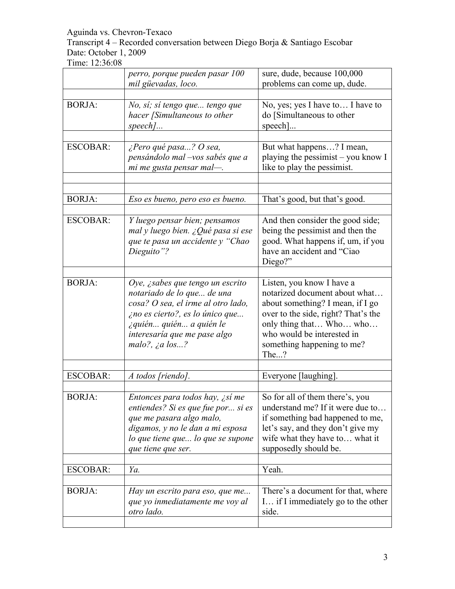Transcript 4 – Recorded conversation between Diego Borja & Santiago Escobar Date: October 1, 2009

|                 | perro, porque pueden pasar 100                                                                                                                                                                                               | sure, dude, because 100,000                                                                                                                                                                                                          |
|-----------------|------------------------------------------------------------------------------------------------------------------------------------------------------------------------------------------------------------------------------|--------------------------------------------------------------------------------------------------------------------------------------------------------------------------------------------------------------------------------------|
|                 | mil güevadas, loco.                                                                                                                                                                                                          | problems can come up, dude.                                                                                                                                                                                                          |
| <b>BORJA:</b>   | No, sí; sí tengo que tengo que<br>hacer [Simultaneous to other<br>$speed$                                                                                                                                                    | No, yes; yes I have to I have to<br>do [Simultaneous to other<br>$\text{speed}$ ]                                                                                                                                                    |
| <b>ESCOBAR:</b> | ¿Pero qué pasa? O sea,<br>pensándolo mal -vos sabés que a<br>mi me gusta pensar mal-                                                                                                                                         | But what happens? I mean,<br>playing the pessimist – you know I<br>like to play the pessimist.                                                                                                                                       |
| <b>BORJA:</b>   | Eso es bueno, pero eso es bueno.                                                                                                                                                                                             | That's good, but that's good.                                                                                                                                                                                                        |
| <b>ESCOBAR:</b> | Y luego pensar bien; pensamos<br>mal y luego bien. ¿Qué pasa si ese<br>que te pasa un accidente y "Chao<br>Dieguito"?                                                                                                        | And then consider the good side;<br>being the pessimist and then the<br>good. What happens if, um, if you<br>have an accident and "Ciao<br>Diego?"                                                                                   |
| <b>BORJA:</b>   | Oye, <i>i</i> sabes que tengo un escrito<br>notariado de lo que de una<br>cosa? O sea, el irme al otro lado,<br>ino es cierto?, es lo único que<br>¿quién quién a quién le<br>interesaría que me pase algo<br>malo?, ¿a los? | Listen, you know I have a<br>notarized document about what<br>about something? I mean, if I go<br>over to the side, right? That's the<br>only thing that Who who<br>who would be interested in<br>something happening to me?<br>The? |
| <b>ESCOBAR:</b> | A todos [riendo].                                                                                                                                                                                                            | Everyone [laughing].                                                                                                                                                                                                                 |
| <b>BORJA:</b>   | Entonces para todos hay, ¿sí me<br>entiendes? Si es que fue por  si es<br>que me pasara algo malo,<br>digamos, y no le dan a mi esposa<br>lo que tiene que lo que se supone<br>que tiene que ser.                            | So for all of them there's, you<br>understand me? If it were due to<br>if something bad happened to me,<br>let's say, and they don't give my<br>wife what they have to what it<br>supposedly should be.                              |
| ESCOBAR:        | Ya.                                                                                                                                                                                                                          | Yeah.                                                                                                                                                                                                                                |
| <b>BORJA:</b>   | Hay un escrito para eso, que me<br>que yo inmediatamente me voy al<br>otro lado.                                                                                                                                             | There's a document for that, where<br>I if I immediately go to the other<br>side.                                                                                                                                                    |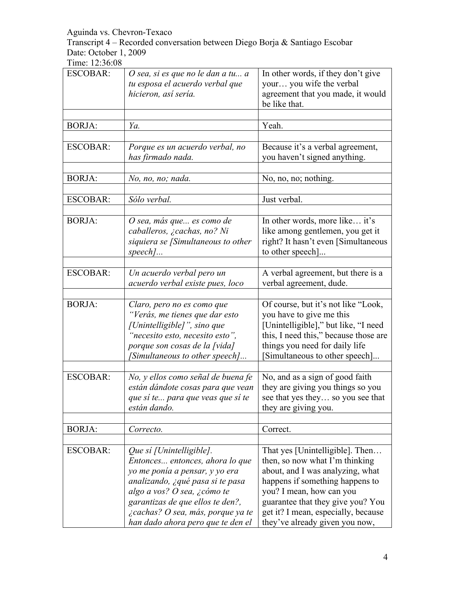Transcript 4 – Recorded conversation between Diego Borja & Santiago Escobar Date: October 1, 2009

| <b>ESCOBAR:</b> | O sea, si es que no le dan a tu a<br>tu esposa el acuerdo verbal que<br>hicieron, así sería.                                                                                                                                                                                   | In other words, if they don't give<br>your you wife the verbal<br>agreement that you made, it would<br>be like that.                                                                                                                                                               |
|-----------------|--------------------------------------------------------------------------------------------------------------------------------------------------------------------------------------------------------------------------------------------------------------------------------|------------------------------------------------------------------------------------------------------------------------------------------------------------------------------------------------------------------------------------------------------------------------------------|
| <b>BORJA:</b>   | Ya.                                                                                                                                                                                                                                                                            | Yeah.                                                                                                                                                                                                                                                                              |
| <b>ESCOBAR:</b> | Porque es un acuerdo verbal, no<br>has firmado nada.                                                                                                                                                                                                                           | Because it's a verbal agreement,<br>you haven't signed anything.                                                                                                                                                                                                                   |
| <b>BORJA:</b>   | No, no, no; nada.                                                                                                                                                                                                                                                              | No, no, no; nothing.                                                                                                                                                                                                                                                               |
| <b>ESCOBAR:</b> | Sólo verbal.                                                                                                                                                                                                                                                                   | Just verbal.                                                                                                                                                                                                                                                                       |
| <b>BORJA:</b>   | O sea, más que es como de<br>caballeros, ¿cachas, no? Ni<br>siquiera se [Simultaneous to other<br>$speed$                                                                                                                                                                      | In other words, more like it's<br>like among gentlemen, you get it<br>right? It hasn't even [Simultaneous<br>to other speech]                                                                                                                                                      |
| <b>ESCOBAR:</b> | Un acuerdo verbal pero un<br>acuerdo verbal existe pues, loco                                                                                                                                                                                                                  | A verbal agreement, but there is a<br>verbal agreement, dude.                                                                                                                                                                                                                      |
| <b>BORJA:</b>   | Claro, pero no es como que<br>"Verás, me tienes que dar esto<br>[Unintelligible]", sino que<br>"necesito esto, necesito esto",<br>porque son cosas de la [vida]<br>[Simultaneous to other speech]                                                                              | Of course, but it's not like "Look,<br>you have to give me this<br>[Unintelligible]," but like, "I need<br>this, I need this," because those are<br>things you need for daily life<br>Simultaneous to other speech]                                                                |
| <b>ESCOBAR:</b> | No, y ellos como señal de buena fe<br>están dándote cosas para que vean<br>que sí te para que veas que sí te<br>están dando.                                                                                                                                                   | No, and as a sign of good faith<br>they are giving you things so you<br>see that yes they so you see that<br>they are giving you.                                                                                                                                                  |
| <b>BORJA:</b>   | Correcto.                                                                                                                                                                                                                                                                      | Correct.                                                                                                                                                                                                                                                                           |
| <b>ESCOBAR:</b> | Que si [Unintelligible].<br>Entonces entonces, ahora lo que<br>yo me ponía a pensar, y yo era<br>analizando, ¿qué pasa si te pasa<br>algo a vos? O sea, ¿cómo te<br>garantizas de que ellos te den?,<br>¿cachas? O sea, más, porque ya te<br>han dado ahora pero que te den el | That yes [Unintelligible]. Then<br>then, so now what I'm thinking<br>about, and I was analyzing, what<br>happens if something happens to<br>you? I mean, how can you<br>guarantee that they give you? You<br>get it? I mean, especially, because<br>they've already given you now, |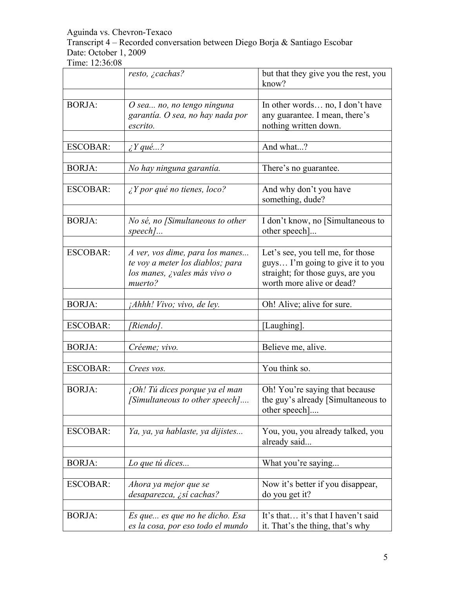Transcript 4 – Recorded conversation between Diego Borja & Santiago Escobar Date: October 1, 2009

|                 | resto, ¿cachas?                                   | but that they give you the rest, you<br>know? |
|-----------------|---------------------------------------------------|-----------------------------------------------|
|                 |                                                   |                                               |
| <b>BORJA:</b>   | O sea no, no tengo ninguna                        | In other words no, I don't have               |
|                 | garantía. O sea, no hay nada por                  | any guarantee. I mean, there's                |
|                 | escrito.                                          | nothing written down.                         |
|                 |                                                   |                                               |
| <b>ESCOBAR:</b> | $\lambda$ Y qué?                                  | And what?                                     |
|                 |                                                   |                                               |
| <b>BORJA:</b>   | No hay ninguna garantía.                          | There's no guarantee.                         |
|                 |                                                   |                                               |
| <b>ESCOBAR:</b> | $\angle Y$ por qué no tienes, loco?               | And why don't you have<br>something, dude?    |
|                 |                                                   |                                               |
| <b>BORJA:</b>   | No sé, no [Simultaneous to other                  | I don't know, no [Simultaneous to             |
|                 | speech]                                           | other speech]                                 |
|                 |                                                   |                                               |
| <b>ESCOBAR:</b> | A ver, vos dime, para los manes                   | Let's see, you tell me, for those             |
|                 | te voy a meter los diablos; para                  | guys I'm going to give it to you              |
|                 | los manes, ¿vales más vivo o                      | straight; for those guys, are you             |
|                 | muerto?                                           | worth more alive or dead?                     |
|                 |                                                   |                                               |
| <b>BORJA:</b>   | <i>Ahhh! Vivo; vivo, de ley.</i>                  | Oh! Alive; alive for sure.                    |
| <b>ESCOBAR:</b> |                                                   |                                               |
|                 | [Riendo].                                         | [Laughing].                                   |
| <b>BORJA:</b>   |                                                   |                                               |
|                 | Créeme; vivo.                                     | Believe me, alive.                            |
|                 |                                                   | You think so.                                 |
| <b>ESCOBAR:</b> | Crees vos.                                        |                                               |
|                 |                                                   |                                               |
| <b>BORJA:</b>   | $\int$ <sub>i</sub> Oh! Tú dices porque ya el man | Oh! You're saying that because                |
|                 | [Simultaneous to other speech].                   | the guy's already [Simultaneous to            |
|                 |                                                   | other speech                                  |
|                 |                                                   |                                               |
| <b>ESCOBAR:</b> | Ya, ya, ya hablaste, ya dijistes                  | You, you, you already talked, you             |
|                 |                                                   | already said                                  |
|                 |                                                   |                                               |
| <b>BORJA:</b>   | Lo que tú dices                                   | What you're saying                            |
|                 |                                                   |                                               |
| <b>ESCOBAR:</b> | Ahora ya mejor que se                             | Now it's better if you disappear,             |
|                 | desaparezca, ¿sí cachas?                          | do you get it?                                |
|                 |                                                   |                                               |
| <b>BORJA:</b>   | Es que  es que no he dicho. Esa                   | It's that it's that I haven't said            |
|                 | es la cosa, por eso todo el mundo                 | it. That's the thing, that's why              |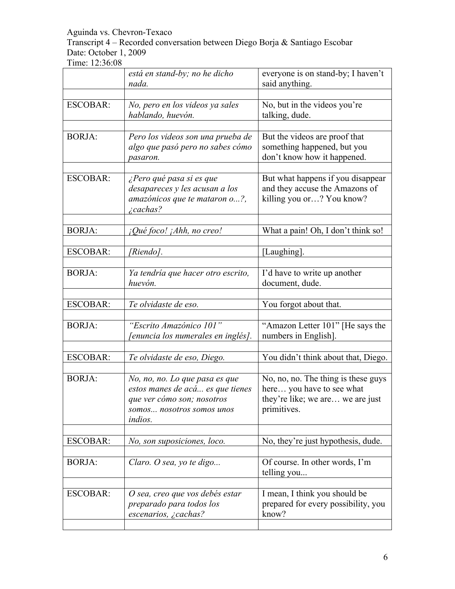Transcript 4 – Recorded conversation between Diego Borja & Santiago Escobar Date: October 1, 2009

|                 | está en stand-by; no he dicho<br>nada.                                                                                                          | everyone is on stand-by; I haven't<br>said anything.                                                                |
|-----------------|-------------------------------------------------------------------------------------------------------------------------------------------------|---------------------------------------------------------------------------------------------------------------------|
|                 |                                                                                                                                                 |                                                                                                                     |
| <b>ESCOBAR:</b> | No, pero en los videos ya sales<br>hablando, huevón.                                                                                            | No, but in the videos you're<br>talking, dude.                                                                      |
| <b>BORJA:</b>   | Pero los videos son una prueba de<br>algo que pasó pero no sabes cómo<br>pasaron.                                                               | But the videos are proof that<br>something happened, but you<br>don't know how it happened.                         |
| <b>ESCOBAR:</b> | ¿Pero qué pasa si es que<br>desapareces y les acusan a los<br>amazónicos que te mataron o?,<br><i>i</i> cachas?                                 | But what happens if you disappear<br>and they accuse the Amazons of<br>killing you or? You know?                    |
| <b>BORJA:</b>   | ¡Qué foco! ¡Ahh, no creo!                                                                                                                       | What a pain! Oh, I don't think so!                                                                                  |
| <b>ESCOBAR:</b> | [Riendo].                                                                                                                                       | [Laughing].                                                                                                         |
| <b>BORJA:</b>   | Ya tendría que hacer otro escrito,<br>huevón.                                                                                                   | I'd have to write up another<br>document, dude.                                                                     |
| <b>ESCOBAR:</b> | Te olvidaste de eso.                                                                                                                            | You forgot about that.                                                                                              |
| <b>BORJA:</b>   | "Escrito Amazónico 101"<br><sup>r</sup> enuncia los numerales en inglés].                                                                       | "Amazon Letter 101" [He says the<br>numbers in English].                                                            |
| <b>ESCOBAR:</b> | Te olvidaste de eso, Diego.                                                                                                                     | You didn't think about that, Diego.                                                                                 |
| <b>BORJA:</b>   | No, no, no. Lo que pasa es que<br>estos manes de acá es que tienes<br>que ver cómo son; nosotros<br>somos nosotros somos unos<br><i>indios.</i> | No, no, no. The thing is these guys<br>here you have to see what<br>they're like; we are we are just<br>primitives. |
| <b>ESCOBAR:</b> | No, son suposiciones, loco.                                                                                                                     | No, they're just hypothesis, dude.                                                                                  |
| <b>BORJA:</b>   | Claro. O sea, yo te digo                                                                                                                        | Of course. In other words, I'm<br>telling you                                                                       |
| <b>ESCOBAR:</b> | O sea, creo que vos debés estar<br>preparado para todos los<br>escenarios, ¿cachas?                                                             | I mean, I think you should be<br>prepared for every possibility, you<br>know?                                       |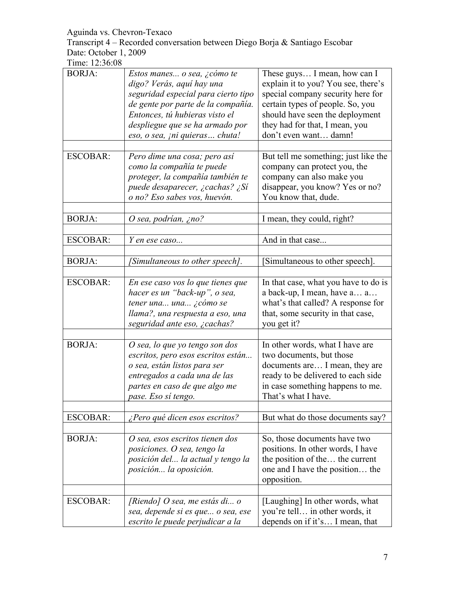Transcript 4 – Recorded conversation between Diego Borja & Santiago Escobar Date: October 1, 2009

| <b>BORJA:</b>   | Estos manes o sea, ¿cómo te<br>digo? Verás, aquí hay una<br>seguridad especial para cierto tipo<br>de gente por parte de la compañía.<br>Entonces, tú hubieras visto el<br>despliegue que se ha armado por | These guys I mean, how can I<br>explain it to you? You see, there's<br>special company security here for<br>certain types of people. So, you<br>should have seen the deployment<br>they had for that, I mean, you |
|-----------------|------------------------------------------------------------------------------------------------------------------------------------------------------------------------------------------------------------|-------------------------------------------------------------------------------------------------------------------------------------------------------------------------------------------------------------------|
|                 | eso, o sea, <i>ini quieras</i> chuta!                                                                                                                                                                      | don't even want damn!                                                                                                                                                                                             |
| <b>ESCOBAR:</b> | Pero dime una cosa; pero así<br>como la compañía te puede<br>proteger, la compañía también te<br>puede desaparecer, ¿cachas? ¿Sí<br>o no? Eso sabes vos, huevón.                                           | But tell me something; just like the<br>company can protect you, the<br>company can also make you<br>disappear, you know? Yes or no?<br>You know that, dude.                                                      |
| <b>BORJA:</b>   | O sea, podrían, ¿no?                                                                                                                                                                                       | I mean, they could, right?                                                                                                                                                                                        |
| <b>ESCOBAR:</b> | Y en ese caso                                                                                                                                                                                              | And in that case                                                                                                                                                                                                  |
| <b>BORJA:</b>   | [Simultaneous to other speech].                                                                                                                                                                            | Simultaneous to other speech].                                                                                                                                                                                    |
| <b>ESCOBAR:</b> | En ese caso vos lo que tienes que<br>hacer es un "back-up", o sea,<br>tener una una ¿cómo se<br>llama?, una respuesta a eso, una<br>seguridad ante eso, ¿cachas?                                           | In that case, what you have to do is<br>a back-up, I mean, have a a<br>what's that called? A response for<br>that, some security in that case,<br>you get it?                                                     |
| <b>BORJA:</b>   | O sea, lo que yo tengo son dos<br>escritos, pero esos escritos están<br>o sea, están listos para ser<br>entregados a cada una de las<br>partes en caso de que algo me<br>pase. Eso sí tengo.               | In other words, what I have are<br>two documents, but those<br>documents are I mean, they are<br>ready to be delivered to each side<br>in case something happens to me.<br>That's what I have.                    |
| <b>ESCOBAR:</b> | ¿Pero qué dicen esos escritos?                                                                                                                                                                             | But what do those documents say?                                                                                                                                                                                  |
| <b>BORJA:</b>   | O sea, esos escritos tienen dos<br>posiciones. O sea, tengo la<br>posición del la actual y tengo la<br>posición la oposición.                                                                              | So, those documents have two<br>positions. In other words, I have<br>the position of the the current<br>one and I have the position the<br>opposition.                                                            |
| <b>ESCOBAR:</b> | [Riendo] O sea, me estás di o<br>sea, depende si es que o sea, ese<br>escrito le puede perjudicar a la                                                                                                     | [Laughing] In other words, what<br>you're tell in other words, it<br>depends on if it's I mean, that                                                                                                              |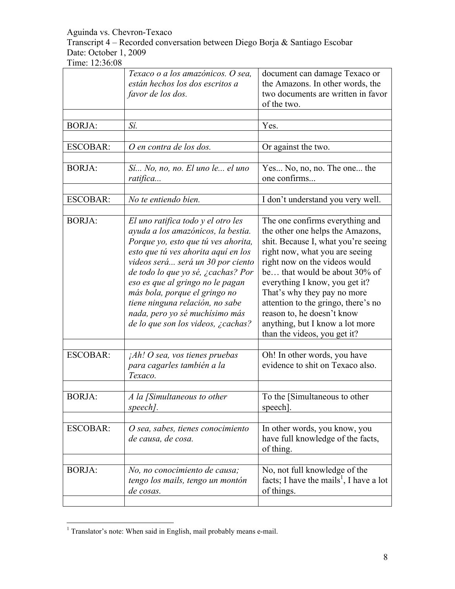Transcript 4 – Recorded conversation between Diego Borja & Santiago Escobar Date: October 1, 2009

|                 | Texaco o a los amazónicos. O sea,<br>están hechos los dos escritos a<br>favor de los dos.                                                                                                                                                                                                                                                                                                                         | document can damage Texaco or<br>the Amazons. In other words, the<br>two documents are written in favor<br>of the two.                                                                                                                                                                                                                                                                                                  |
|-----------------|-------------------------------------------------------------------------------------------------------------------------------------------------------------------------------------------------------------------------------------------------------------------------------------------------------------------------------------------------------------------------------------------------------------------|-------------------------------------------------------------------------------------------------------------------------------------------------------------------------------------------------------------------------------------------------------------------------------------------------------------------------------------------------------------------------------------------------------------------------|
| <b>BORJA:</b>   | Sí.                                                                                                                                                                                                                                                                                                                                                                                                               | Yes.                                                                                                                                                                                                                                                                                                                                                                                                                    |
| <b>ESCOBAR:</b> | O en contra de los dos.                                                                                                                                                                                                                                                                                                                                                                                           | Or against the two.                                                                                                                                                                                                                                                                                                                                                                                                     |
| <b>BORJA:</b>   | Sí No, no, no. El uno le el uno<br>ratifica                                                                                                                                                                                                                                                                                                                                                                       | Yes No, no, no. The one the<br>one confirms                                                                                                                                                                                                                                                                                                                                                                             |
| <b>ESCOBAR:</b> | No te entiendo bien.                                                                                                                                                                                                                                                                                                                                                                                              | I don't understand you very well.                                                                                                                                                                                                                                                                                                                                                                                       |
| <b>BORJA:</b>   | El uno ratifica todo y el otro les<br>ayuda a los amazónicos, la bestia.<br>Porque yo, esto que tú ves ahorita,<br>esto que tú ves ahorita aquí en los<br>videos será será un 30 por ciento<br>de todo lo que yo sé, ¿cachas? Por<br>eso es que al gringo no le pagan<br>más bola, porque el gringo no<br>tiene ninguna relación, no sabe<br>nada, pero yo sé muchísimo más<br>de lo que son los videos, ¿cachas? | The one confirms everything and<br>the other one helps the Amazons,<br>shit. Because I, what you're seeing<br>right now, what you are seeing<br>right now on the videos would<br>be that would be about 30% of<br>everything I know, you get it?<br>That's why they pay no more<br>attention to the gringo, there's no<br>reason to, he doesn't know<br>anything, but I know a lot more<br>than the videos, you get it? |
| <b>ESCOBAR:</b> | $jAh!$ O sea, vos tienes pruebas<br>para cagarles también a la<br>Texaco.                                                                                                                                                                                                                                                                                                                                         | Oh! In other words, you have<br>evidence to shit on Texaco also.                                                                                                                                                                                                                                                                                                                                                        |
| <b>BORJA:</b>   | A la [Simultaneous to other<br>speech].                                                                                                                                                                                                                                                                                                                                                                           | To the [Simultaneous to other<br>speech].                                                                                                                                                                                                                                                                                                                                                                               |
| <b>ESCOBAR:</b> | O sea, sabes, tienes conocimiento<br>de causa, de cosa.                                                                                                                                                                                                                                                                                                                                                           | In other words, you know, you<br>have full knowledge of the facts,<br>of thing.                                                                                                                                                                                                                                                                                                                                         |
| <b>BORJA:</b>   | No, no conocimiento de causa;<br>tengo los mails, tengo un montón<br>de cosas.                                                                                                                                                                                                                                                                                                                                    | No, not full knowledge of the<br>facts; I have the mails <sup>1</sup> , I have a lot<br>of things.                                                                                                                                                                                                                                                                                                                      |

<sup>&</sup>lt;sup>1</sup> Translator's note: When said in English, mail probably means e-mail.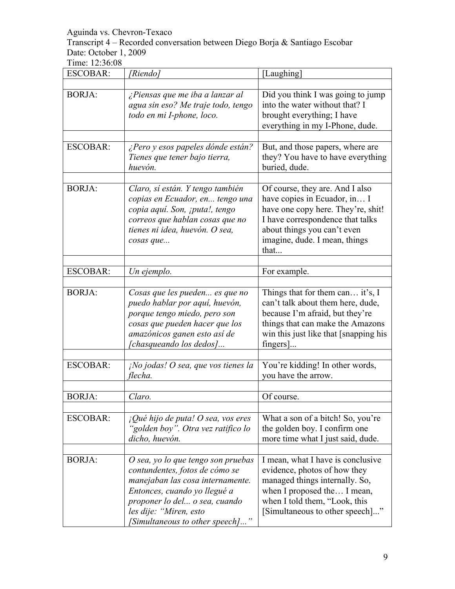Transcript 4 – Recorded conversation between Diego Borja & Santiago Escobar Date: October 1, 2009

| <b>ESCOBAR:</b> | [Riendo]                                                                                                                                                                                                                               | [Laughing]                                                                                                                                                                                                        |
|-----------------|----------------------------------------------------------------------------------------------------------------------------------------------------------------------------------------------------------------------------------------|-------------------------------------------------------------------------------------------------------------------------------------------------------------------------------------------------------------------|
| <b>BORJA:</b>   | ¿Piensas que me iba a lanzar al<br>agua sin eso? Me traje todo, tengo<br>todo en mi I-phone, loco.                                                                                                                                     | Did you think I was going to jump<br>into the water without that? I<br>brought everything; I have<br>everything in my I-Phone, dude.                                                                              |
| <b>ESCOBAR:</b> | ¿Pero y esos papeles dónde están?<br>Tienes que tener bajo tierra,<br>huevón.                                                                                                                                                          | But, and those papers, where are<br>they? You have to have everything<br>buried, dude.                                                                                                                            |
| <b>BORJA:</b>   | Claro, sí están. Y tengo también<br>copias en Ecuador, en tengo una<br>copia aquí. Son, ¡puta!, tengo<br>correos que hablan cosas que no<br>tienes ni idea, huevón. O sea,<br>cosas que                                                | Of course, they are. And I also<br>have copies in Ecuador, in I<br>have one copy here. They're, shit!<br>I have correspondence that talks<br>about things you can't even<br>imagine, dude. I mean, things<br>that |
| <b>ESCOBAR:</b> | Un ejemplo.                                                                                                                                                                                                                            | For example.                                                                                                                                                                                                      |
| <b>BORJA:</b>   | Cosas que les pueden es que no<br>puedo hablar por aquí, huevón,<br>porque tengo miedo, pero son<br>cosas que pueden hacer que los<br>amazónicos ganen esto así de<br><i>chasqueando los dedos</i> ]                                   | Things that for them can it's, I<br>can't talk about them here, dude,<br>because I'm afraid, but they're<br>things that can make the Amazons<br>win this just like that [snapping his<br>fingers]                 |
| <b>ESCOBAR:</b> | $i$ No jodas! O sea, que vos tienes la<br>flecha.                                                                                                                                                                                      | You're kidding! In other words,<br>you have the arrow.                                                                                                                                                            |
| <b>BORJA:</b>   | Claro.                                                                                                                                                                                                                                 | Of course.                                                                                                                                                                                                        |
| <b>ESCOBAR:</b> | $i$ Qué hijo de puta! O sea, vos eres<br>'golden boy". Otra vez ratifico lo<br>dicho, huevón.                                                                                                                                          | What a son of a bitch! So, you're<br>the golden boy. I confirm one<br>more time what I just said, dude.                                                                                                           |
| <b>BORJA:</b>   | O sea, yo lo que tengo son pruebas<br>contundentes, fotos de cómo se<br>manejaban las cosa internamente.<br>Entonces, cuando yo llegué a<br>proponer lo del o sea, cuando<br>les dije: "Miren, esto<br>[Simultaneous to other speech]" | I mean, what I have is conclusive<br>evidence, photos of how they<br>managed things internally. So,<br>when I proposed the I mean,<br>when I told them, "Look, this<br>[Simultaneous to other speech]"            |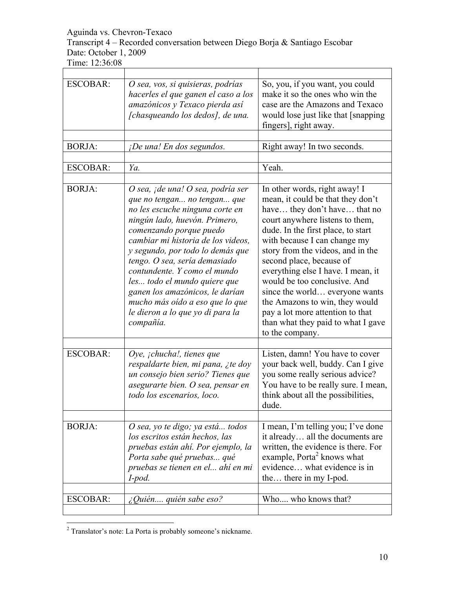Transcript 4 – Recorded conversation between Diego Borja & Santiago Escobar Date: October 1, 2009

| <b>ESCOBAR:</b> | O sea, vos, si quisieras, podrías<br>hacerles el que ganen el caso a los<br>amazónicos y Texaco pierda así<br>[chasqueando los dedos], de una.                                                                                                                                                                                                                                                                                                                    | So, you, if you want, you could<br>make it so the ones who win the<br>case are the Amazons and Texaco<br>would lose just like that [snapping<br>fingers], right away.                                                                                                                                                                                                                                                                                                                                               |
|-----------------|-------------------------------------------------------------------------------------------------------------------------------------------------------------------------------------------------------------------------------------------------------------------------------------------------------------------------------------------------------------------------------------------------------------------------------------------------------------------|---------------------------------------------------------------------------------------------------------------------------------------------------------------------------------------------------------------------------------------------------------------------------------------------------------------------------------------------------------------------------------------------------------------------------------------------------------------------------------------------------------------------|
| <b>BORJA:</b>   | $i$ De una! En dos segundos.                                                                                                                                                                                                                                                                                                                                                                                                                                      | Right away! In two seconds.                                                                                                                                                                                                                                                                                                                                                                                                                                                                                         |
|                 |                                                                                                                                                                                                                                                                                                                                                                                                                                                                   |                                                                                                                                                                                                                                                                                                                                                                                                                                                                                                                     |
| <b>ESCOBAR:</b> | Ya.                                                                                                                                                                                                                                                                                                                                                                                                                                                               | Yeah.                                                                                                                                                                                                                                                                                                                                                                                                                                                                                                               |
| <b>BORJA:</b>   | O sea, ¡de una! O sea, podría ser<br>que no tengan no tengan que<br>no les escuche ninguna corte en<br>ningún lado, huevón. Primero,<br>comenzando porque puedo<br>cambiar mi historia de los videos,<br>y segundo, por todo lo demás que<br>tengo. O sea, sería demasiado<br>contundente. Y como el mundo<br>les todo el mundo quiere que<br>ganen los amazónicos, le darían<br>mucho más oído a eso que lo que<br>le dieron a lo que yo di para la<br>compañía. | In other words, right away! I<br>mean, it could be that they don't<br>have they don't have that no<br>court anywhere listens to them,<br>dude. In the first place, to start<br>with because I can change my<br>story from the videos, and in the<br>second place, because of<br>everything else I have. I mean, it<br>would be too conclusive. And<br>since the world everyone wants<br>the Amazons to win, they would<br>pay a lot more attention to that<br>than what they paid to what I gave<br>to the company. |
| <b>ESCOBAR:</b> | Oye, <i>j</i> chucha!, tienes que<br>respaldarte bien, mi pana, ¿te doy<br>un consejo bien serio? Tienes que<br>asegurarte bien. O sea, pensar en<br>todo los escenarios, loco.                                                                                                                                                                                                                                                                                   | Listen, damn! You have to cover<br>your back well, buddy. Can I give<br>you some really serious advice?<br>You have to be really sure. I mean,<br>think about all the possibilities,<br>dude.                                                                                                                                                                                                                                                                                                                       |
| <b>BORJA:</b>   | O sea, yo te digo; ya está todos<br>los escritos están hechos, las<br>pruebas están ahí. Por ejemplo, la<br>Porta sabe qué pruebas qué<br>pruebas se tienen en el ahí en mi<br>$I$ -pod.                                                                                                                                                                                                                                                                          | I mean, I'm telling you; I've done<br>it already all the documents are<br>written, the evidence is there. For<br>example, Porta <sup>2</sup> knows what<br>evidence what evidence is in<br>the there in my I-pod.                                                                                                                                                                                                                                                                                                   |
| <b>ESCOBAR:</b> | ¿Quién quién sabe eso?                                                                                                                                                                                                                                                                                                                                                                                                                                            | Who who knows that?                                                                                                                                                                                                                                                                                                                                                                                                                                                                                                 |

 <sup>2</sup> Translator's note: La Porta is probably someone's nickname.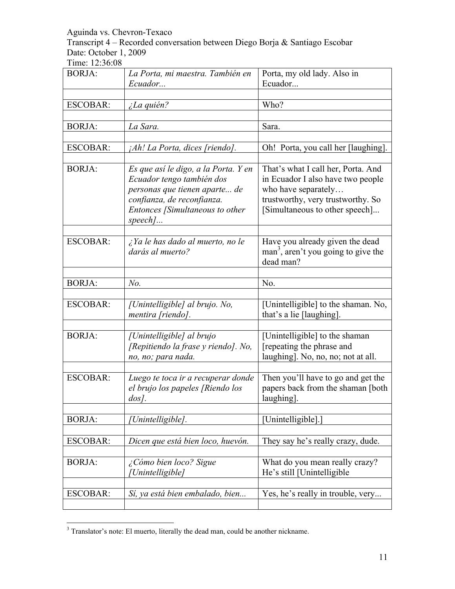Transcript 4 – Recorded conversation between Diego Borja & Santiago Escobar Date: October 1, 2009

| <b>BORJA:</b>   | La Porta, mi maestra. También en<br>Ecuador                                                                                                                                    | Porta, my old lady. Also in<br>Ecuador                                                                                                                                |
|-----------------|--------------------------------------------------------------------------------------------------------------------------------------------------------------------------------|-----------------------------------------------------------------------------------------------------------------------------------------------------------------------|
| <b>ESCOBAR:</b> | ¿La quién?                                                                                                                                                                     | Who?                                                                                                                                                                  |
| <b>BORJA:</b>   | La Sara.                                                                                                                                                                       | Sara.                                                                                                                                                                 |
| <b>ESCOBAR:</b> | ¡Ah! La Porta, dices [riendo].                                                                                                                                                 | Oh! Porta, you call her [laughing].                                                                                                                                   |
| <b>BORJA:</b>   | Es que así le digo, a la Porta. Y en<br>Ecuador tengo también dos<br>personas que tienen aparte de<br>confianza, de reconfianza.<br>Entonces [Simultaneous to other<br>$speed$ | That's what I call her, Porta. And<br>in Ecuador I also have two people<br>who have separately<br>trustworthy, very trustworthy. So<br>[Simultaneous to other speech] |
| <b>ESCOBAR:</b> | ¿Ya le has dado al muerto, no le<br>darás al muerto?                                                                                                                           | Have you already given the dead<br>man <sup>3</sup> , aren't you going to give the<br>dead man?                                                                       |
| <b>BORJA:</b>   | N <sub>o</sub>                                                                                                                                                                 | No.                                                                                                                                                                   |
| <b>ESCOBAR:</b> | [Unintelligible] al brujo. No,<br>mentira [riendo].                                                                                                                            | [Unintelligible] to the shaman. No,<br>that's a lie [laughing].                                                                                                       |
| <b>BORJA:</b>   | [Unintelligible] al brujo<br>[Repitiendo la frase y riendo]. No,<br>no, no; para nada.                                                                                         | [Unintelligible] to the shaman<br>[repeating the phrase and<br>laughing]. No, no, no; not at all.                                                                     |
| <b>ESCOBAR:</b> | Luego te toca ir a recuperar donde<br>el brujo los papeles [Riendo los<br>$\log$ .                                                                                             | Then you'll have to go and get the<br>papers back from the shaman [both]<br>laughing].                                                                                |
| <b>BORJA:</b>   | [Unintelligible].                                                                                                                                                              | [Unintelligible].]                                                                                                                                                    |
| <b>ESCOBAR:</b> | Dicen que está bien loco, huevón.                                                                                                                                              | They say he's really crazy, dude.                                                                                                                                     |
| <b>BORJA:</b>   | ¿Cómo bien loco? Sigue<br>[Unintelligible]                                                                                                                                     | What do you mean really crazy?<br>He's still [Unintelligible                                                                                                          |
| <b>ESCOBAR:</b> | Sí, ya está bien embalado, bien                                                                                                                                                | Yes, he's really in trouble, very                                                                                                                                     |

<sup>&</sup>lt;sup>3</sup> Translator's note: El muerto, literally the dead man, could be another nickname.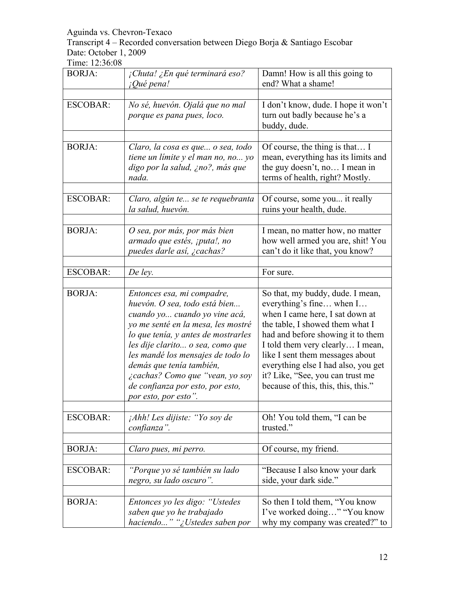Transcript 4 – Recorded conversation between Diego Borja & Santiago Escobar Date: October 1, 2009

| <b>BORJA:</b>   | ¡Chuta! ¿En qué terminará eso?<br><i>iQué pena!</i>                                                                                                                                                                                                                                                                                                                           | Damn! How is all this going to<br>end? What a shame!                                                                                                                                                                                                                                                                                                             |
|-----------------|-------------------------------------------------------------------------------------------------------------------------------------------------------------------------------------------------------------------------------------------------------------------------------------------------------------------------------------------------------------------------------|------------------------------------------------------------------------------------------------------------------------------------------------------------------------------------------------------------------------------------------------------------------------------------------------------------------------------------------------------------------|
| <b>ESCOBAR:</b> | No sé, huevón. Ojalá que no mal<br>porque es pana pues, loco.                                                                                                                                                                                                                                                                                                                 | I don't know, dude. I hope it won't<br>turn out badly because he's a<br>buddy, dude.                                                                                                                                                                                                                                                                             |
| <b>BORJA:</b>   | Claro, la cosa es que o sea, todo<br>tiene un límite y el man no, no yo<br>digo por la salud, ¿no?, más que<br>nada.                                                                                                                                                                                                                                                          | Of course, the thing is that I<br>mean, everything has its limits and<br>the guy doesn't, no I mean in<br>terms of health, right? Mostly.                                                                                                                                                                                                                        |
| <b>ESCOBAR:</b> | Claro, algún te se te requebranta<br>la salud, huevón.                                                                                                                                                                                                                                                                                                                        | Of course, some you it really<br>ruins your health, dude.                                                                                                                                                                                                                                                                                                        |
| <b>BORJA:</b>   | O sea, por más, por más bien<br>armado que estés, ¡puta!, no<br>puedes darle así, ¿cachas?                                                                                                                                                                                                                                                                                    | I mean, no matter how, no matter<br>how well armed you are, shit! You<br>can't do it like that, you know?                                                                                                                                                                                                                                                        |
| <b>ESCOBAR:</b> | De ley.                                                                                                                                                                                                                                                                                                                                                                       | For sure.                                                                                                                                                                                                                                                                                                                                                        |
| <b>BORJA:</b>   | Entonces esa, mi compadre,<br>huevón. O sea, todo está bien<br>cuando yo cuando yo vine acá,<br>yo me senté en la mesa, les mostré<br>lo que tenía, y antes de mostrarles<br>les dije clarito o sea, como que<br>les mandé los mensajes de todo lo<br>demás que tenía también,<br>¿cachas? Como que "vean, yo soy<br>de confianza por esto, por esto,<br>por esto, por esto". | So that, my buddy, dude. I mean,<br>everything's fine when I<br>when I came here, I sat down at<br>the table, I showed them what I<br>had and before showing it to them<br>I told them very clearly I mean,<br>like I sent them messages about<br>everything else I had also, you get<br>it? Like, "See, you can trust me<br>because of this, this, this, this." |
| <b>ESCOBAR:</b> | ¡Ahh! Les dijiste: "Yo soy de<br>confianza".                                                                                                                                                                                                                                                                                                                                  | Oh! You told them, "I can be<br>trusted."                                                                                                                                                                                                                                                                                                                        |
| <b>BORJA:</b>   | Claro pues, mi perro.                                                                                                                                                                                                                                                                                                                                                         | Of course, my friend.                                                                                                                                                                                                                                                                                                                                            |
| <b>ESCOBAR:</b> | "Porque yo sé también su lado<br>negro, su lado oscuro".                                                                                                                                                                                                                                                                                                                      | "Because I also know your dark"<br>side, your dark side."                                                                                                                                                                                                                                                                                                        |
| <b>BORJA:</b>   | Entonces yo les digo: "Ustedes<br>saben que yo he trabajado<br>haciendo" "¿Ustedes saben por                                                                                                                                                                                                                                                                                  | So then I told them, "You know<br>I've worked doing" "You know<br>why my company was created?" to                                                                                                                                                                                                                                                                |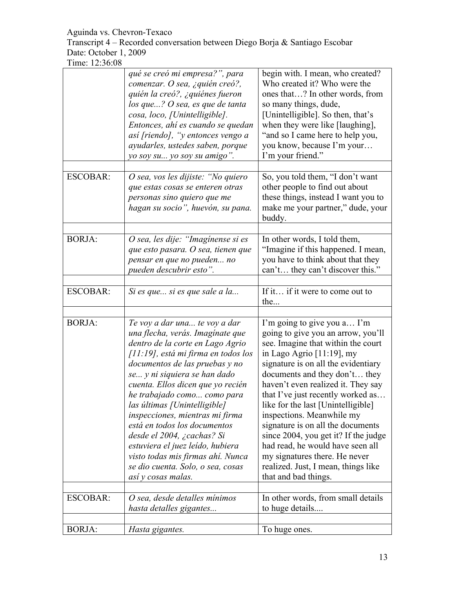Transcript 4 – Recorded conversation between Diego Borja & Santiago Escobar Date: October 1, 2009

|                 | qué se creó mi empresa?", para<br>comenzar. O sea, ¿quién creó?,<br>quién la creó?, ¿quiénes fueron<br>$\log$ que? O sea, es que de tanta<br>cosa, loco, [Unintelligible].<br>Entonces, ahí es cuando se quedan<br>así [riendo], "y entonces vengo a<br>ayudarles, ustedes saben, porque<br>yo soy su yo soy su amigo".                                                                                                                                                                                                                                    | begin with. I mean, who created?<br>Who created it? Who were the<br>ones that? In other words, from<br>so many things, dude,<br>[Unintelligible]. So then, that's<br>when they were like [laughing],<br>"and so I came here to help you,<br>you know, because I'm your<br>I'm your friend."                                                                                                                                                                                                                                                                                 |
|-----------------|------------------------------------------------------------------------------------------------------------------------------------------------------------------------------------------------------------------------------------------------------------------------------------------------------------------------------------------------------------------------------------------------------------------------------------------------------------------------------------------------------------------------------------------------------------|-----------------------------------------------------------------------------------------------------------------------------------------------------------------------------------------------------------------------------------------------------------------------------------------------------------------------------------------------------------------------------------------------------------------------------------------------------------------------------------------------------------------------------------------------------------------------------|
| <b>ESCOBAR:</b> | O sea, vos les dijiste: "No quiero<br>que estas cosas se enteren otras<br>personas sino quiero que me<br>hagan su socio", huevón, su pana.                                                                                                                                                                                                                                                                                                                                                                                                                 | So, you told them, "I don't want<br>other people to find out about<br>these things, instead I want you to<br>make me your partner," dude, your<br>buddy.                                                                                                                                                                                                                                                                                                                                                                                                                    |
| <b>BORJA:</b>   | O sea, les dije: "Imaginense si es<br>que esto pasara. O sea, tienen que<br>pensar en que no pueden no<br>pueden descubrir esto".                                                                                                                                                                                                                                                                                                                                                                                                                          | In other words, I told them,<br>"Imagine if this happened. I mean,<br>you have to think about that they<br>can't they can't discover this."                                                                                                                                                                                                                                                                                                                                                                                                                                 |
| <b>ESCOBAR:</b> | Si es que si es que sale a la                                                                                                                                                                                                                                                                                                                                                                                                                                                                                                                              | If it if it were to come out to<br>the                                                                                                                                                                                                                                                                                                                                                                                                                                                                                                                                      |
| <b>BORJA:</b>   | Te voy a dar una te voy a dar<br>una flecha, verás. Imagínate que<br>dentro de la corte en Lago Agrio<br>$[11:19]$ , está mi firma en todos los<br>documentos de las pruebas y no<br>se y ni siquiera se han dado<br>cuenta. Ellos dicen que yo recién<br>he trabajado como como para<br>las últimas [Unintelligible]<br>inspecciones, mientras mi firma<br>está en todos los documentos<br>desde el 2004, ¿cachas? Si<br>estuviera el juez leído, hubiera<br>visto todas mis firmas ahí. Nunca<br>se dio cuenta. Solo, o sea, cosas<br>así y cosas malas. | I'm going to give you a I'm<br>going to give you an arrow, you'll<br>see. Imagine that within the court<br>in Lago Agrio [11:19], my<br>signature is on all the evidentiary<br>documents and they don't they<br>haven't even realized it. They say<br>that I've just recently worked as<br>like for the last [Unintelligible]<br>inspections. Meanwhile my<br>signature is on all the documents<br>since 2004, you get it? If the judge<br>had read, he would have seen all<br>my signatures there. He never<br>realized. Just, I mean, things like<br>that and bad things. |
| <b>ESCOBAR:</b> | O sea, desde detalles mínimos<br>hasta detalles gigantes                                                                                                                                                                                                                                                                                                                                                                                                                                                                                                   | In other words, from small details<br>to huge details                                                                                                                                                                                                                                                                                                                                                                                                                                                                                                                       |
| <b>BORJA:</b>   | Hasta gigantes.                                                                                                                                                                                                                                                                                                                                                                                                                                                                                                                                            | To huge ones.                                                                                                                                                                                                                                                                                                                                                                                                                                                                                                                                                               |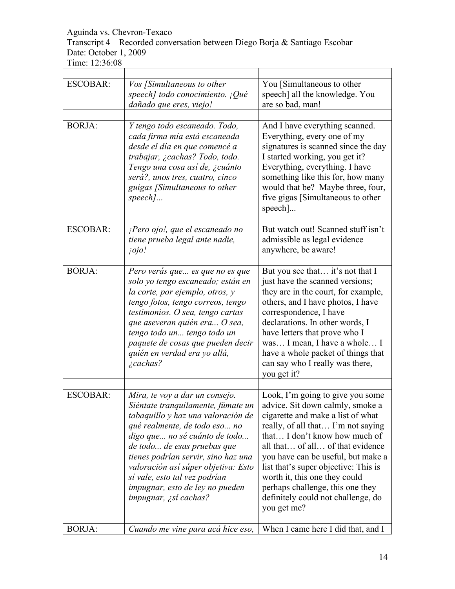# Transcript 4 – Recorded conversation between Diego Borja & Santiago Escobar Date: October 1, 2009

| <b>ESCOBAR:</b> | Vos [Simultaneous to other<br>speech] todo conocimiento. ¡Qué<br>dañado que eres, viejo!                                                                                                                                                                                                                                                                                                      | You [Simultaneous to other<br>speech] all the knowledge. You<br>are so bad, man!                                                                                                                                                                                                                                                                                                                                             |
|-----------------|-----------------------------------------------------------------------------------------------------------------------------------------------------------------------------------------------------------------------------------------------------------------------------------------------------------------------------------------------------------------------------------------------|------------------------------------------------------------------------------------------------------------------------------------------------------------------------------------------------------------------------------------------------------------------------------------------------------------------------------------------------------------------------------------------------------------------------------|
| <b>BORJA:</b>   | Y tengo todo escaneado. Todo,<br>cada firma mía está escaneada<br>desde el día en que comencé a<br>trabajar, ¿cachas? Todo, todo.<br>Tengo una cosa así de, ¿cuánto<br>será?, unos tres, cuatro, cinco<br>guigas [Simultaneous to other<br>$speed$                                                                                                                                            | And I have everything scanned.<br>Everything, every one of my<br>signatures is scanned since the day<br>I started working, you get it?<br>Everything, everything. I have<br>something like this for, how many<br>would that be? Maybe three, four,<br>five gigas [Simultaneous to other<br>$\text{speed}.$                                                                                                                   |
| <b>ESCOBAR:</b> | $i$ Pero ojo!, que el escaneado no<br>tiene prueba legal ante nadie,<br><i>iojo!</i>                                                                                                                                                                                                                                                                                                          | But watch out! Scanned stuff isn't<br>admissible as legal evidence<br>anywhere, be aware!                                                                                                                                                                                                                                                                                                                                    |
| <b>BORJA:</b>   | Pero verás que es que no es que<br>solo yo tengo escaneado; están en<br>la corte, por ejemplo, otros, y<br>tengo fotos, tengo correos, tengo<br>testimonios. O sea, tengo cartas<br>que aseveran quién era O sea,<br>tengo todo un tengo todo un<br>paquete de cosas que pueden decir<br>quién en verdad era yo allá,<br>$\zeta$ cachas?                                                      | But you see that it's not that I<br>just have the scanned versions;<br>they are in the court, for example,<br>others, and I have photos, I have<br>correspondence, I have<br>declarations. In other words, I<br>have letters that prove who I<br>was I mean, I have a whole I<br>have a whole packet of things that<br>can say who I really was there,<br>you get it?                                                        |
| <b>ESCOBAR:</b> | Mira, te voy a dar un consejo.<br>Siéntate tranquilamente, fúmate un<br>tabaquillo y haz una valoración de<br>qué realmente, de todo eso no<br>digo que no sé cuánto de todo<br>de todo de esas pruebas que<br>tienes podrían servir, sino haz una<br>valoración así súper objetiva: Esto<br>sí vale, esto tal vez podrían<br>impugnar, esto de ley no pueden<br><i>impugnar, ¿sí cachas?</i> | Look, I'm going to give you some<br>advice. Sit down calmly, smoke a<br>cigarette and make a list of what<br>really, of all that I'm not saying<br>that I don't know how much of<br>all that of all of that evidence<br>you have can be useful, but make a<br>list that's super objective: This is<br>worth it, this one they could<br>perhaps challenge, this one they<br>definitely could not challenge, do<br>you get me? |
| <b>BORJA:</b>   | Cuando me vine para acá hice eso,                                                                                                                                                                                                                                                                                                                                                             | When I came here I did that, and I                                                                                                                                                                                                                                                                                                                                                                                           |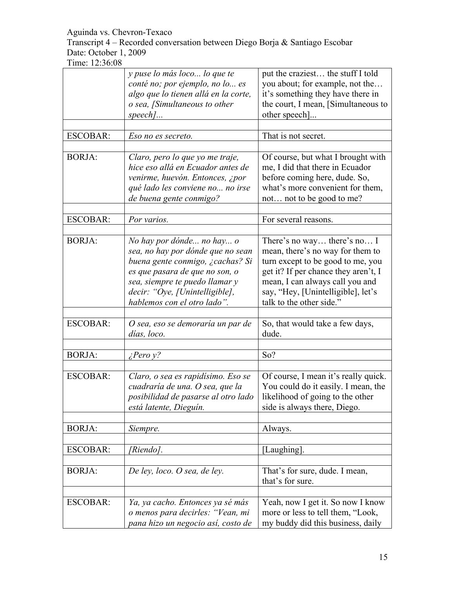Transcript 4 – Recorded conversation between Diego Borja & Santiago Escobar Date: October 1, 2009

|                 | y puse lo más loco lo que te<br>conté no; por ejemplo, no lo es<br>algo que lo tienen allá en la corte,<br>o sea, [Simultaneous to other<br>$speed$                                                                                     | put the craziest the stuff I told<br>you about; for example, not the<br>it's something they have there in<br>the court, I mean, [Simultaneous to<br>other speech]                                                                                 |
|-----------------|-----------------------------------------------------------------------------------------------------------------------------------------------------------------------------------------------------------------------------------------|---------------------------------------------------------------------------------------------------------------------------------------------------------------------------------------------------------------------------------------------------|
| <b>ESCOBAR:</b> | Eso no es secreto.                                                                                                                                                                                                                      | That is not secret.                                                                                                                                                                                                                               |
| <b>BORJA:</b>   | Claro, pero lo que yo me traje,<br>hice eso allá en Ecuador antes de<br>venirme, huevón. Entonces, ¿por<br>qué lado les conviene no no irse<br>de buena gente conmigo?                                                                  | Of course, but what I brought with<br>me, I did that there in Ecuador<br>before coming here, dude. So,<br>what's more convenient for them,<br>not not to be good to me?                                                                           |
| <b>ESCOBAR:</b> | Por varios.                                                                                                                                                                                                                             | For several reasons.                                                                                                                                                                                                                              |
| <b>BORJA:</b>   | No hay por dónde no hay o<br>sea, no hay por dónde que no sean<br>buena gente conmigo, ¿cachas? Si<br>es que pasara de que no son, o<br>sea, siempre te puedo llamar y<br>decir: "Oye, [Unintelligible],<br>hablemos con el otro lado". | There's no way there's no I<br>mean, there's no way for them to<br>turn except to be good to me, you<br>get it? If per chance they aren't, I<br>mean, I can always call you and<br>say, "Hey, [Unintelligible], let's<br>talk to the other side." |
| <b>ESCOBAR:</b> | O sea, eso se demoraría un par de<br>días, loco.                                                                                                                                                                                        | So, that would take a few days,<br>dude.                                                                                                                                                                                                          |
| <b>BORJA:</b>   |                                                                                                                                                                                                                                         | So?                                                                                                                                                                                                                                               |
|                 | $i$ Pero y?                                                                                                                                                                                                                             |                                                                                                                                                                                                                                                   |
| <b>ESCOBAR:</b> | Claro, o sea es rapidísimo. Eso se<br>cuadraría de una. O sea, que la<br>posibilidad de pasarse al otro lado<br>está latente, Dieguín.                                                                                                  | Of course, I mean it's really quick.<br>You could do it easily. I mean, the<br>likelihood of going to the other<br>side is always there, Diego.                                                                                                   |
| <b>BORJA:</b>   | Siempre.                                                                                                                                                                                                                                | Always.                                                                                                                                                                                                                                           |
| <b>ESCOBAR:</b> | [Riendo].                                                                                                                                                                                                                               | [Laughing].                                                                                                                                                                                                                                       |
| <b>BORJA:</b>   | De ley, loco. O sea, de ley.                                                                                                                                                                                                            | That's for sure, dude. I mean,<br>that's for sure.                                                                                                                                                                                                |
| <b>ESCOBAR:</b> | Ya, ya cacho. Entonces ya sé más<br>o menos para decirles: "Vean, mi<br>pana hizo un negocio así, costo de                                                                                                                              | Yeah, now I get it. So now I know<br>more or less to tell them, "Look,<br>my buddy did this business, daily                                                                                                                                       |